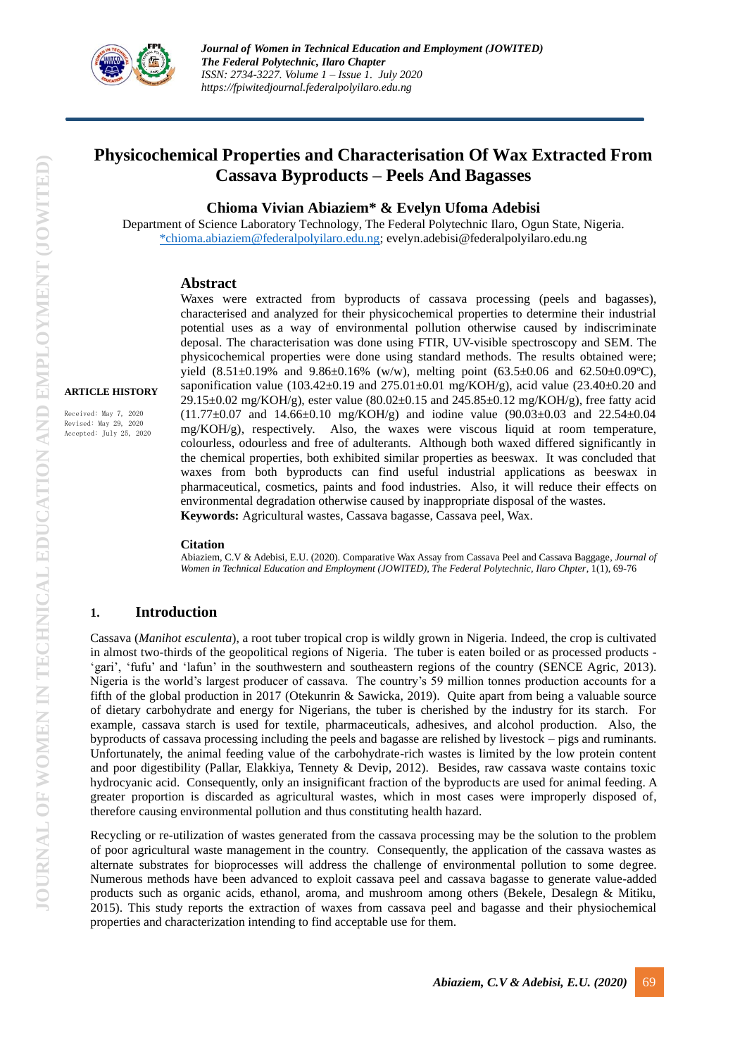

# **Physicochemical Properties and Characterisation Of Wax Extracted From Cassava Byproducts – Peels And Bagasses**

#### **Chioma Vivian Abiaziem\* & Evelyn Ufoma Adebisi**

Department of Science Laboratory Technology, The Federal Polytechnic Ilaro, Ogun State, Nigeria. [\\*chioma.abiaziem@federalpolyilaro.edu.ng;](mailto:*chioma.abiaziem@federalpolyilaro.edu.ng) evelyn.adebisi@federalpolyilaro.edu.ng

#### **Abstract**

**ARTICLE HISTORY**

Received: May 7, 2020 Revised: May 29, 2020 Accepted: July 25, 2020

Waxes were extracted from byproducts of cassava processing (peels and bagasses), characterised and analyzed for their physicochemical properties to determine their industrial potential uses as a way of environmental pollution otherwise caused by indiscriminate deposal. The characterisation was done using FTIR, UV-visible spectroscopy and SEM. The physicochemical properties were done using standard methods. The results obtained were; yield  $(8.51\pm0.19\%$  and  $9.86\pm0.16\%$  (w/w), melting point  $(63.5\pm0.06$  and  $62.50\pm0.09\degree$ C), saponification value (103.42±0.19 and 275.01±0.01 mg/KOH/g), acid value (23.40±0.20 and 29.15 $\pm$ 0.02 mg/KOH/g), ester value (80.02 $\pm$ 0.15 and 245.85 $\pm$ 0.12 mg/KOH/g), free fatty acid  $(11.77\pm0.07$  and  $14.66\pm0.10$  mg/KOH/g) and iodine value  $(90.03\pm0.03$  and  $22.54\pm0.04$ mg/KOH/g), respectively. Also, the waxes were viscous liquid at room temperature, colourless, odourless and free of adulterants. Although both waxed differed significantly in the chemical properties, both exhibited similar properties as beeswax. It was concluded that waxes from both byproducts can find useful industrial applications as beeswax in pharmaceutical, cosmetics, paints and food industries. Also, it will reduce their effects on environmental degradation otherwise caused by inappropriate disposal of the wastes. **Keywords:** Agricultural wastes, Cassava bagasse, Cassava peel, Wax.

#### **Citation**

Abiaziem, C.V & Adebisi, E.U. (2020). Comparative Wax Assay from Cassava Peel and Cassava Baggage, *Journal of Women in Technical Education and Employment (JOWITED), The Federal Polytechnic, Ilaro Chpter*, 1(1), 69-76

# **1. Introduction**

Cassava (*Manihot esculenta*), a root tuber tropical crop is wildly grown in Nigeria. Indeed, the crop is cultivated in almost two-thirds of the geopolitical regions of Nigeria. The tuber is eaten boiled or as processed products - 'gari', 'fufu' and 'lafun' in the southwestern and southeastern regions of the country (SENCE Agric, 2013). Nigeria is the world's largest producer of cassava. The country's 59 million tonnes production accounts for a fifth of the global production in 2017 (Otekunrin & Sawicka, 2019). Quite apart from being a valuable source of dietary carbohydrate and energy for Nigerians, the tuber is cherished by the industry for its starch. For example, cassava starch is used for textile, pharmaceuticals, adhesives, and alcohol production. Also, the byproducts of cassava processing including the peels and bagasse are relished by livestock – pigs and ruminants. Unfortunately, the animal feeding value of the carbohydrate-rich wastes is limited by the low protein content and poor digestibility (Pallar, Elakkiya, Tennety & Devip, 2012). Besides, raw cassava waste contains toxic hydrocyanic acid. Consequently, only an insignificant fraction of the byproducts are used for animal feeding. A greater proportion is discarded as agricultural wastes, which in most cases were improperly disposed of, therefore causing environmental pollution and thus constituting health hazard.

Recycling or re-utilization of wastes generated from the cassava processing may be the solution to the problem of poor agricultural waste management in the country. Consequently, the application of the cassava wastes as alternate substrates for bioprocesses will address the challenge of environmental pollution to some degree. Numerous methods have been advanced to exploit cassava peel and cassava bagasse to generate value-added products such as organic acids, ethanol, aroma, and mushroom among others (Bekele, Desalegn & Mitiku, 2015). This study reports the extraction of waxes from cassava peel and bagasse and their physiochemical properties and characterization intending to find acceptable use for them.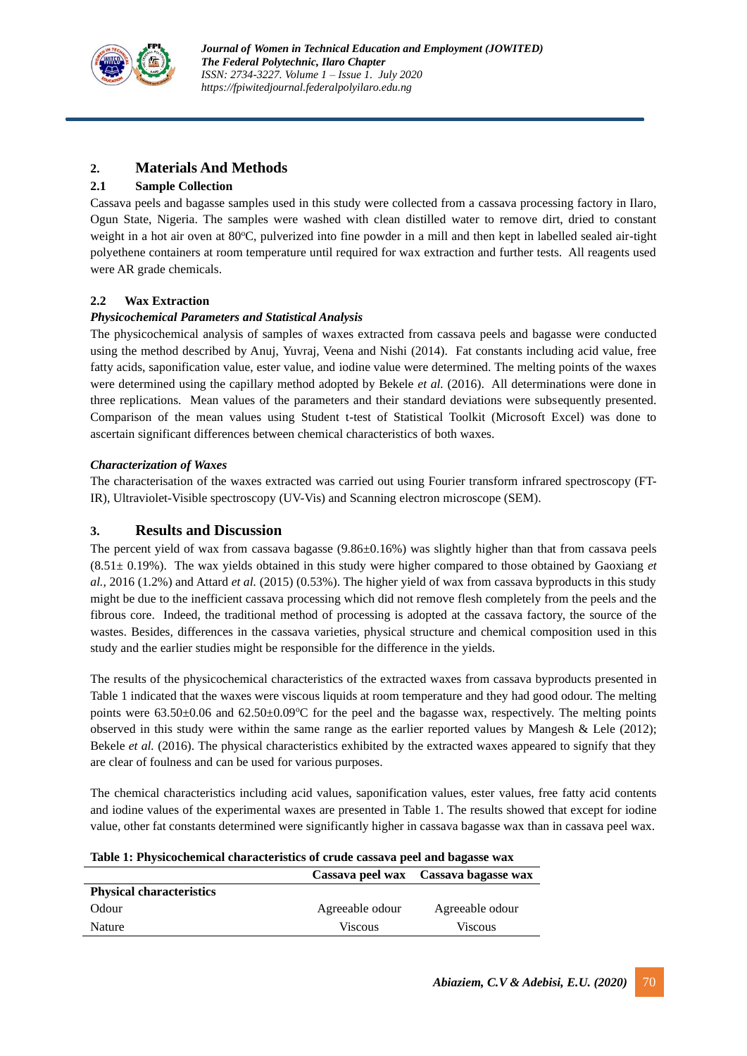

# **2. Materials And Methods**

## **2.1 Sample Collection**

Cassava peels and bagasse samples used in this study were collected from a cassava processing factory in Ilaro, Ogun State, Nigeria. The samples were washed with clean distilled water to remove dirt, dried to constant weight in a hot air oven at 80°C, pulverized into fine powder in a mill and then kept in labelled sealed air-tight polyethene containers at room temperature until required for wax extraction and further tests. All reagents used were AR grade chemicals.

#### **2.2 Wax Extraction**

## *Physicochemical Parameters and Statistical Analysis*

The physicochemical analysis of samples of waxes extracted from cassava peels and bagasse were conducted using the method described by Anuj, Yuvraj, Veena and Nishi (2014). Fat constants including acid value, free fatty acids, saponification value, ester value, and iodine value were determined. The melting points of the waxes were determined using the capillary method adopted by Bekele *et al.* (2016). All determinations were done in three replications. Mean values of the parameters and their standard deviations were subsequently presented. Comparison of the mean values using Student t-test of Statistical Toolkit (Microsoft Excel) was done to ascertain significant differences between chemical characteristics of both waxes.

#### *Characterization of Waxes*

The characterisation of the waxes extracted was carried out using Fourier transform infrared spectroscopy (FT-IR), Ultraviolet-Visible spectroscopy (UV-Vis) and Scanning electron microscope (SEM).

# **3. Results and Discussion**

The percent yield of wax from cassava bagasse (9.86±0.16%) was slightly higher than that from cassava peels (8.51± 0.19%). The wax yields obtained in this study were higher compared to those obtained by Gaoxiang *et al.,* 2016 (1.2%) and Attard *et al.* (2015) (0.53%). The higher yield of wax from cassava byproducts in this study might be due to the inefficient cassava processing which did not remove flesh completely from the peels and the fibrous core. Indeed, the traditional method of processing is adopted at the cassava factory, the source of the wastes. Besides, differences in the cassava varieties, physical structure and chemical composition used in this study and the earlier studies might be responsible for the difference in the yields.

The results of the physicochemical characteristics of the extracted waxes from cassava byproducts presented in Table 1 indicated that the waxes were viscous liquids at room temperature and they had good odour. The melting points were  $63.50\pm0.06$  and  $62.50\pm0.09$ °C for the peel and the bagasse wax, respectively. The melting points observed in this study were within the same range as the earlier reported values by Mangesh & Lele (2012); Bekele *et al.* (2016). The physical characteristics exhibited by the extracted waxes appeared to signify that they are clear of foulness and can be used for various purposes.

The chemical characteristics including acid values, saponification values, ester values, free fatty acid contents and iodine values of the experimental waxes are presented in Table 1. The results showed that except for iodine value, other fat constants determined were significantly higher in cassava bagasse wax than in cassava peel wax.

| Table 1: Physicochemical characteristics of crude cassava peel and bagasse wax |                                      |
|--------------------------------------------------------------------------------|--------------------------------------|
|                                                                                | Cassava neel wax Cassava haqasse wax |

| <b>Physical characteristics</b> |                 |                 |
|---------------------------------|-----------------|-----------------|
| Odour                           | Agreeable odour | Agreeable odour |
| Nature                          | <b>Viscous</b>  | Viscous         |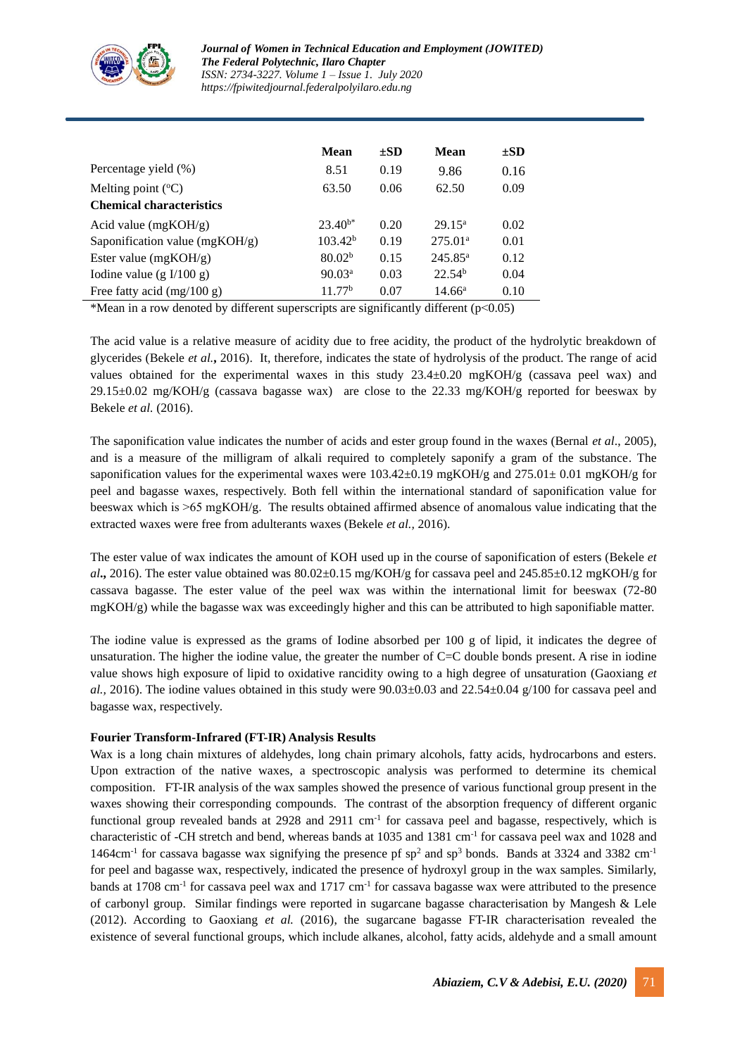

|                                  | Mean                | $\pm SD$ | Mean                | $\pm SD$ |
|----------------------------------|---------------------|----------|---------------------|----------|
| Percentage yield (%)             | 8.51                | 0.19     | 9.86                | 0.16     |
| Melting point $({}^{\circ}C)$    | 63.50               | 0.06     | 62.50               | 0.09     |
| <b>Chemical characteristics</b>  |                     |          |                     |          |
| Acid value ( $mgKOH/g$ )         | $23.40^{b*}$        | 0.20     | $29.15^{\rm a}$     | 0.02     |
| Saponification value $(mgKOH/g)$ | 103.42 <sup>b</sup> | 0.19     | 275.01 <sup>a</sup> | 0.01     |
| Ester value $(mgKOH/g)$          | 80.02 <sup>b</sup>  | 0.15     | $245.85^{\rm a}$    | 0.12     |
| Iodine value $(g I/100 g)$       | 90.03 <sup>a</sup>  | 0.03     | 22.54 <sup>b</sup>  | 0.04     |
| Free fatty acid $(mg/100 g)$     | 11.77 <sup>b</sup>  | 0.07     | $14.66^{\rm a}$     | 0.10     |

\*Mean in a row denoted by different superscripts are significantly different  $(p<0.05)$ 

The acid value is a relative measure of acidity due to free acidity, the product of the hydrolytic breakdown of glycerides (Bekele *et al.***,** 2016). It, therefore, indicates the state of hydrolysis of the product. The range of acid values obtained for the experimental waxes in this study 23.4±0.20 mgKOH/g (cassava peel wax) and 29.15±0.02 mg/KOH/g (cassava bagasse wax) are close to the 22.33 mg/KOH/g reported for beeswax by Bekele *et al.* (2016).

The saponification value indicates the number of acids and ester group found in the waxes (Bernal *et al*., 2005), and is a measure of the milligram of alkali required to completely saponify a gram of the substance. The saponification values for the experimental waxes were  $103.42\pm0.19$  mgKOH/g and  $275.01\pm0.01$  mgKOH/g for peel and bagasse waxes, respectively. Both fell within the international standard of saponification value for beeswax which is ˃65 mgKOH/g. The results obtained affirmed absence of anomalous value indicating that the extracted waxes were free from adulterants waxes (Bekele *et al.,* 2016).

The ester value of wax indicates the amount of KOH used up in the course of saponification of esters (Bekele *et al***.,** 2016). The ester value obtained was 80.02±0.15 mg/KOH/g for cassava peel and 245.85±0.12 mgKOH/g for cassava bagasse. The ester value of the peel wax was within the international limit for beeswax (72-80 mgKOH/g) while the bagasse wax was exceedingly higher and this can be attributed to high saponifiable matter.

The iodine value is expressed as the grams of Iodine absorbed per 100 g of lipid, it indicates the degree of unsaturation. The higher the iodine value, the greater the number of  $C=C$  double bonds present. A rise in iodine value shows high exposure of lipid to oxidative rancidity owing to a high degree of unsaturation (Gaoxiang *et al.,* 2016). The iodine values obtained in this study were 90.03±0.03 and 22.54±0.04 g/100 for cassava peel and bagasse wax, respectively.

#### **Fourier Transform-Infrared (FT-IR) Analysis Results**

Wax is a long chain mixtures of aldehydes, long chain primary alcohols, fatty acids, hydrocarbons and esters. Upon extraction of the native waxes, a spectroscopic analysis was performed to determine its chemical composition. FT-IR analysis of the wax samples showed the presence of various functional group present in the waxes showing their corresponding compounds. The contrast of the absorption frequency of different organic functional group revealed bands at 2928 and 2911 cm<sup>-1</sup> for cassava peel and bagasse, respectively, which is characteristic of -CH stretch and bend, whereas bands at 1035 and 1381 cm<sup>-1</sup> for cassava peel wax and 1028 and  $1464 \text{cm}^{-1}$  for cassava bagasse wax signifying the presence pf sp<sup>2</sup> and sp<sup>3</sup> bonds. Bands at 3324 and 3382 cm<sup>-1</sup> for peel and bagasse wax, respectively, indicated the presence of hydroxyl group in the wax samples. Similarly, bands at 1708 cm<sup>-1</sup> for cassava peel wax and 1717 cm<sup>-1</sup> for cassava bagasse wax were attributed to the presence of carbonyl group. Similar findings were reported in sugarcane bagasse characterisation by Mangesh & Lele (2012). According to Gaoxiang *et al.* (2016), the sugarcane bagasse FT-IR characterisation revealed the existence of several functional groups, which include alkanes, alcohol, fatty acids, aldehyde and a small amount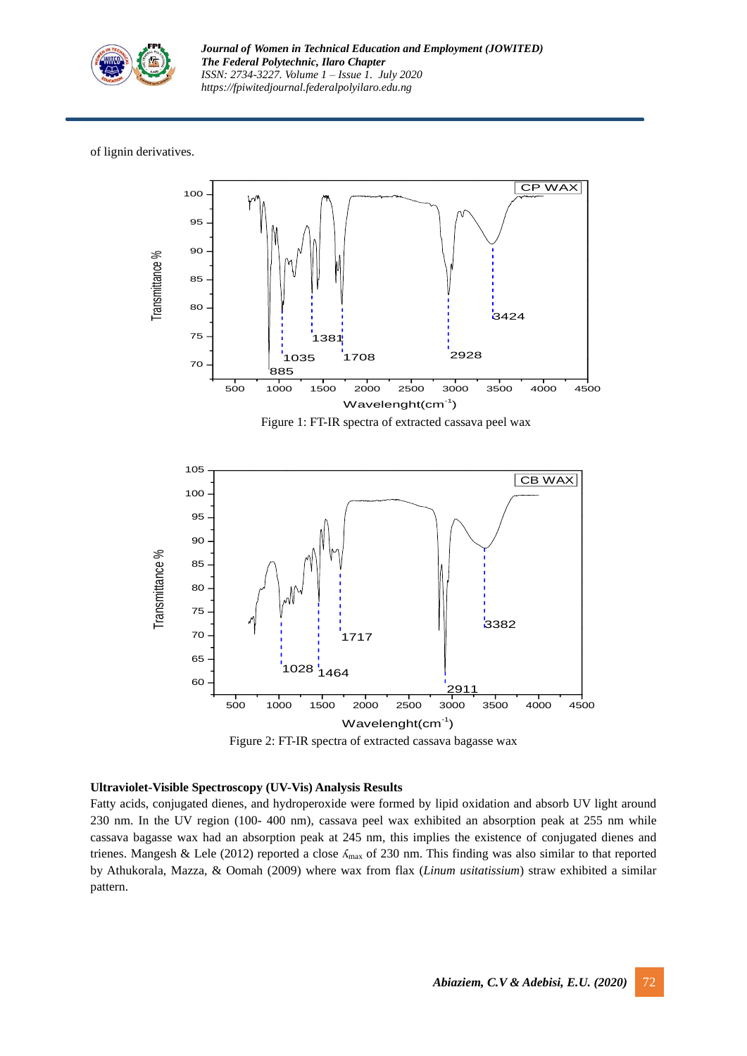

#### of lignin derivatives.





#### **Ultraviolet-Visible Spectroscopy (UV-Vis) Analysis Results**

Fatty acids, conjugated dienes, and hydroperoxide were formed by lipid oxidation and absorb UV light around 230 nm. In the UV region (100- 400 nm), cassava peel wax exhibited an absorption peak at 255 nm while cassava bagasse wax had an absorption peak at 245 nm, this implies the existence of conjugated dienes and trienes. Mangesh & Lele (2012) reported a close ʎmax of 230 nm. This finding was also similar to that reported by Athukorala, Mazza, & Oomah (2009) where wax from flax (*Linum usitatissium*) straw exhibited a similar pattern.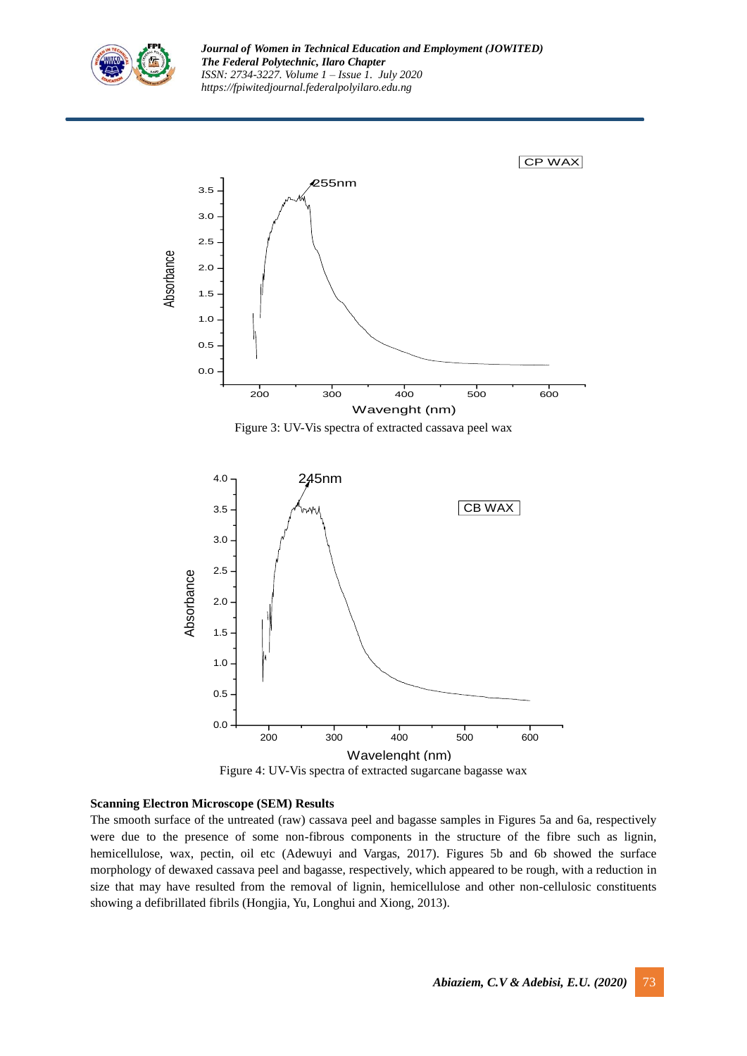



#### **Scanning Electron Microscope (SEM) Results**

The smooth surface of the untreated (raw) cassava peel and bagasse samples in Figures 5a and 6a, respectively were due to the presence of some non-fibrous components in the structure of the fibre such as lignin, hemicellulose, wax, pectin, oil etc (Adewuyi and Vargas, 2017). Figures 5b and 6b showed the surface morphology of dewaxed cassava peel and bagasse, respectively, which appeared to be rough, with a reduction in size that may have resulted from the removal of lignin, hemicellulose and other non-cellulosic constituents showing a defibrillated fibrils (Hongjia, Yu, Longhui and Xiong, 2013).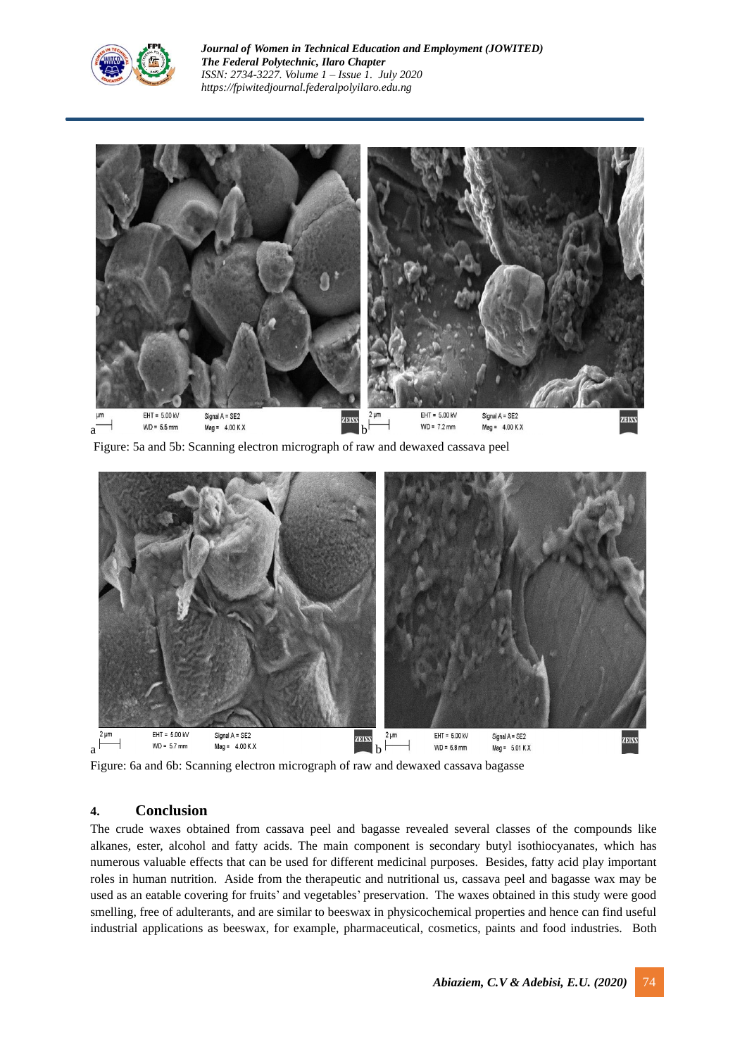



Figure: 5a and 5b: Scanning electron micrograph of raw and dewaxed cassava peel



# **4. Conclusion**

The crude waxes obtained from cassava peel and bagasse revealed several classes of the compounds like alkanes, ester, alcohol and fatty acids. The main component is secondary butyl isothiocyanates, which has numerous valuable effects that can be used for different medicinal purposes. Besides, fatty acid play important roles in human nutrition. Aside from the therapeutic and nutritional us, cassava peel and bagasse wax may be used as an eatable covering for fruits' and vegetables' preservation. The waxes obtained in this study were good smelling, free of adulterants, and are similar to beeswax in physicochemical properties and hence can find useful industrial applications as beeswax, for example, pharmaceutical, cosmetics, paints and food industries. Both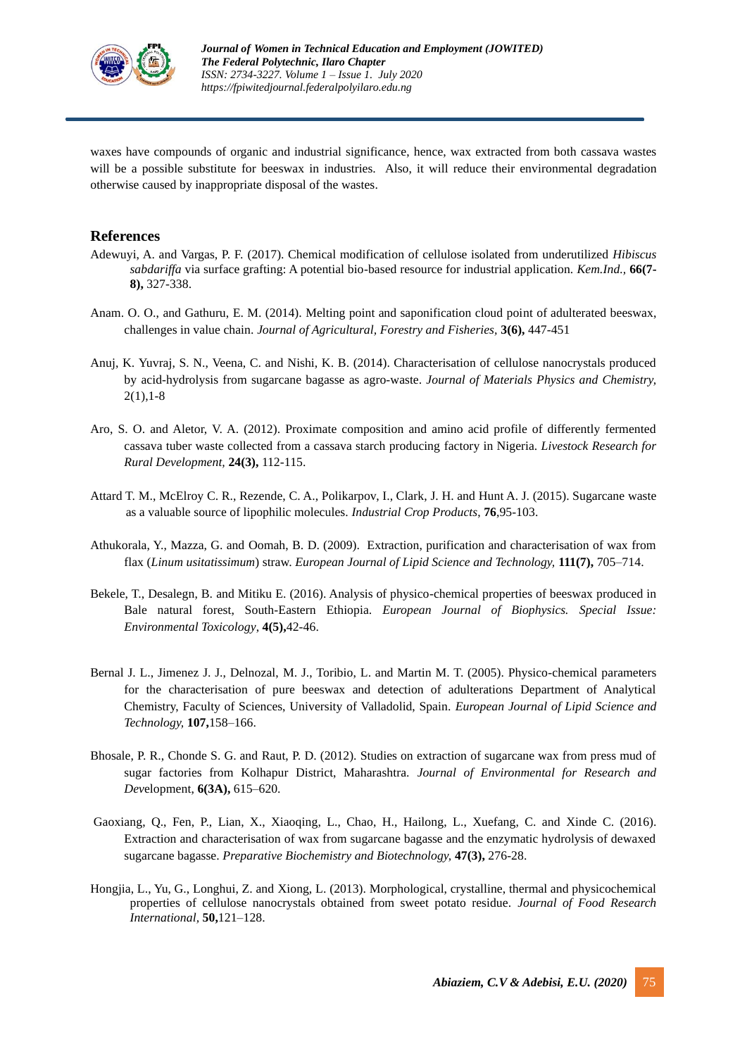

waxes have compounds of organic and industrial significance, hence, wax extracted from both cassava wastes will be a possible substitute for beeswax in industries. Also, it will reduce their environmental degradation otherwise caused by inappropriate disposal of the wastes.

### **References**

- Adewuyi, A. and Vargas, P. F. (2017). Chemical modification of cellulose isolated from underutilized *Hibiscus sabdariffa* via surface grafting: A potential bio-based resource for industrial application. *Kem.Ind.,* **66(7- 8),** 327-338.
- Anam. O. O., and Gathuru, E. M. (2014). Melting point and saponification cloud point of adulterated beeswax, challenges in value chain. *Journal of Agricultural, Forestry and Fisheries,* **3(6),** 447-451
- Anuj, K. Yuvraj, S. N., Veena, C. and Nishi, K. B. (2014). Characterisation of cellulose nanocrystals produced by acid-hydrolysis from sugarcane bagasse as agro-waste. *Journal of Materials Physics and Chemistry,*   $2(1)$ , 1-8
- Aro, S. O. and Aletor, V. A. (2012). Proximate composition and amino acid profile of differently fermented cassava tuber waste collected from a cassava starch producing factory in Nigeria. *Livestock Research for Rural Development,* **24(3),** 112-115.
- Attard T. M., McElroy C. R., Rezende, C. A., Polikarpov, I., Clark, J. H. and Hunt A. J. (2015). Sugarcane waste as a valuable source of lipophilic molecules. *Industrial Crop Products*, **76**,95-103.
- Athukorala, Y., Mazza, G. and Oomah, B. D. (2009). Extraction, purification and characterisation of wax from flax (*Linum usitatissimum*) straw. *European Journal of Lipid Science and Technology,* **111(7),** 705–714.
- Bekele, T., Desalegn, B. and Mitiku E. (2016). Analysis of physico-chemical properties of beeswax produced in Bale natural forest, South-Eastern Ethiopia. *European Journal of Biophysics. Special Issue: Environmental Toxicology*, **4(5),**42-46.
- Bernal J. L., Jimenez J. J., Delnozal, M. J., Toribio, L. and Martin M. T. (2005). Physico-chemical parameters for the characterisation of pure beeswax and detection of adulterations Department of Analytical Chemistry, Faculty of Sciences, University of Valladolid, Spain. *European Journal of Lipid Science and Technology,* **107,**158–166.
- Bhosale, P. R., Chonde S. G. and Raut, P. D. (2012). Studies on extraction of sugarcane wax from press mud of sugar factories from Kolhapur District, Maharashtra. *Journal of Environmental for Research and Dev*elopment, **6(3A),** 615–620.
- Gaoxiang, Q., Fen, P., Lian, X., Xiaoqing, L., Chao, H., Hailong, L., Xuefang, C. and Xinde C. (2016). Extraction and characterisation of wax from sugarcane bagasse and the enzymatic hydrolysis of dewaxed sugarcane bagasse. *Preparative Biochemistry and Biotechnology,* **47(3),** 276-28.
- Hongjia, L., Yu, G., Longhui, Z. and Xiong, L. (2013). Morphological, crystalline, thermal and physicochemical properties of cellulose nanocrystals obtained from sweet potato residue. *Journal of Food Research International,* **50,**121–128.